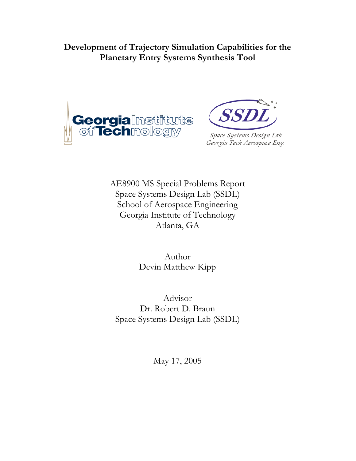**Development of Trajectory Simulation Capabilities for the Planetary Entry Systems Synthesis Tool** 





Space Systems Design Lab Georgia Tech Aerospace Eng.

AE8900 MS Special Problems Report Space Systems Design Lab (SSDL) School of Aerospace Engineering Georgia Institute of Technology Atlanta, GA

> Author Devin Matthew Kipp

Advisor Dr. Robert D. Braun Space Systems Design Lab (SSDL)

May 17, 2005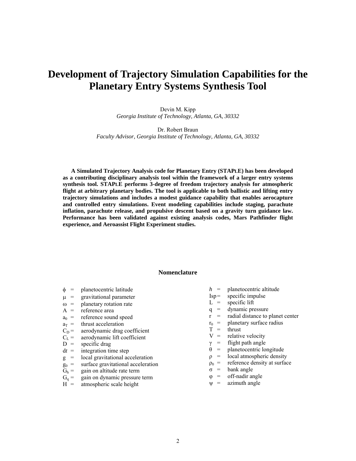# **Development of Trajectory Simulation Capabilities for the Planetary Entry Systems Synthesis Tool**

Devin M. Kipp *Georgia Institute of Technology, Atlanta, GA, 30332*

Dr. Robert Braun *Faculty Advisor, Georgia Institute of Technology, Atlanta, GA, 30332*

**A Simulated Trajectory Analysis code for Planetary Entry (STAPLE) has been developed as a contributing disciplinary analysis tool within the framework of a larger entry systems synthesis tool. STAPLE performs 3-degree of freedom trajectory analysis for atmospheric flight at arbitrary planetary bodies. The tool is applicable to both ballistic and lifting entry trajectory simulations and includes a modest guidance capability that enables aerocapture and controlled entry simulations. Event modeling capabilities include staging, parachute inflation, parachute release, and propulsive descent based on a gravity turn guidance law. Performance has been validated against existing analysis codes, Mars Pathfinder flight experience, and Aeroassist Flight Experiment studies.** 

#### **Nomenclature**

- $\phi$  = planetocentric latitude
- $\mu$  = gravitational parameter
- $\omega$  = planetary rotation rate
- $A =$  reference area
- $a_0$  = reference sound speed
- 
- $a_T$  = thrust acceleration<br>C<sub>D</sub> = aerodynamic drag  $C_D$  = aerodynamic drag coefficient<br> $C_L$  = aerodynamic lift coefficient
- aerodynamic lift coefficient
- $D =$  specific drag<br>  $dt =$  integration tin
- integration time step
- g = local gravitational acceleration
- $g_0$  = surface gravitational acceleration<br>  $G_h$  = gain on altitude rate term
- 
- $G_h$  = gain on altitude rate term<br> $G_q$  = gain on dynamic pressure gain on dynamic pressure term
- $H =$  atmospheric scale height
- *h* = planetocentric altitude
- Isp= specific impulse
- $L =$  specific lift
- q = dynamic pressure
- $r =$  radial distance to planet center
- $r_0$  = planetary surface radius<br>  $T =$  thrust
- thrust
- $V =$  relative velocity
- $\gamma$  = flight path angle
- $\theta$  = planetocentric longitude
- $\rho$  = local atmospheric density
- $\rho_0$  = reference density at surface
- $\sigma$  = bank angle
- $\varphi$  = off-nadir angle
- $\Psi$  = azimuth angle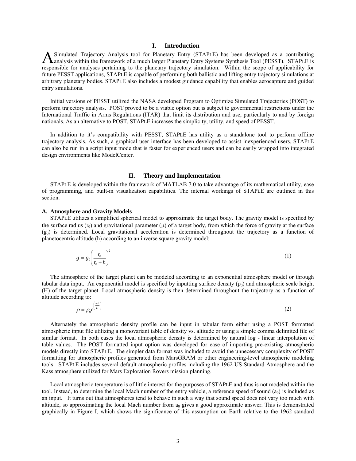#### **I. Introduction**

Simulated Trajectory Analysis tool for Planetary Entry (STAPLE) has been developed as a contributing A Simulated Trajectory Analysis tool for Planetary Entry (STAPLE) has been developed as a contributing<br>Analysis within the framework of a much larger Planetary Entry Systems Synthesis Tool (PESST). STAPLE is responsible for analyses pertaining to the planetary trajectory simulation. Within the scope of applicability for future PESST applications, STAPLE is capable of performing both ballistic and lifting entry trajectory simulations at arbitrary planetary bodies. STAPLE also includes a modest guidance capability that enables aerocapture and guided entry simulations.

Initial versions of PESST utilized the NASA developed Program to Optimize Simulated Trajectories (POST) to perform trajectory analysis. POST proved to be a viable option but is subject to governmental restrictions under the International Traffic in Arms Regulations (ITAR) that limit its distribution and use, particularly to and by foreign nationals. As an alternative to POST, STAPLE increases the simplicity, utility, and speed of PESST.

In addition to it's compatibility with PESST, STAPLE has utility as a standalone tool to perform offline trajectory analysis. As such, a graphical user interface has been developed to assist inexperienced users. STAPLE can also be run in a script input mode that is faster for experienced users and can be easily wrapped into integrated design environments like ModelCenter.

#### **II. Theory and Implementation**

STAPLE is developed within the framework of MATLAB 7.0 to take advantage of its mathematical utility, ease of programming, and built-in visualization capabilities. The internal workings of STAPLE are outlined in this section.

#### **A. Atmosphere and Gravity Models**

STAPLE utilizes a simplified spherical model to approximate the target body. The gravity model is specified by the surface radius  $(r_0)$  and gravitational parameter ( $\mu$ ) of a target body, from which the force of gravity at the surface  $(g<sub>0</sub>)$  is determined. Local gravitational acceleration is determined throughout the trajectory as a function of planetocentric altitude (h) according to an inverse square gravity model:

$$
g = g_0 \left(\frac{r_0}{r_0 + h}\right)^2 \tag{1}
$$

The atmosphere of the target planet can be modeled according to an exponential atmosphere model or through tabular data input. An exponential model is specified by inputting surface density  $(\rho_0)$  and atmospheric scale height (H) of the target planet. Local atmospheric density is then determined throughout the trajectory as a function of altitude according to:

$$
\rho = \rho_0 e^{\left(\frac{-h}{H}\right)} \tag{2}
$$

Alternately the atmospheric density profile can be input in tabular form either using a POST formatted atmospheric input file utilizing a monovariant table of density vs. altitude or using a simple comma delimited file of similar format. In both cases the local atmospheric density is determined by natural log - linear interpolation of table values. The POST formatted input option was developed for ease of importing pre-existing atmospheric models directly into STAPLE. The simpler data format was included to avoid the unnecessary complexity of POST formatting for atmospheric profiles generated from MarsGRAM or other engineering-level atmospheric modeling tools. STAPLE includes several default atmospheric profiles including the 1962 US Standard Atmosphere and the Kass atmosphere utilized for Mars Exploration Rovers mission planning.

Local atmospheric temperature is of little interest for the purposes of STAPLE and thus is not modeled within the tool. Instead, to determine the local Mach number of the entry vehicle, a reference speed of sound  $(a_0)$  is included as an input. It turns out that atmospheres tend to behave in such a way that sound speed does not vary too much with altitude, so approximating the local Mach number from  $a_0$  gives a good approximate answer. This is demonstrated graphically in Figure I, which shows the significance of this assumption on Earth relative to the 1962 standard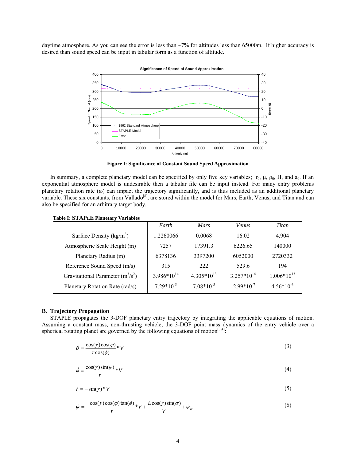daytime atmosphere. As you can see the error is less than  $\sim$ 7% for altitudes less than 65000m. If higher accuracy is desired than sound speed can be input in tabular form as a function of altitude.



**Figure I: Significance of Constant Sound Speed Approximation** 

In summary, a complete planetary model can be specified by only five key variables;  $r_0$ ,  $\mu$ ,  $\rho_0$ ,  $H$ , and  $a_0$ . If an exponential atmosphere model is undesirable then a tabular file can be input instead. For many entry problems planetary rotation rate ( $\omega$ ) can impact the trajectory significantly, and is thus included as an additional planetary variable. These six constants, from Vallado<sup>[8]</sup>, are stored within the model for Mars, Earth, Venus, and Titan and can also be specified for an arbitrary target body.

| $1400x$ 1. $911x$ $12$ $1400x$      | Earth           | <i>Mars</i>     | <b>Venus</b>    | Titan           |
|-------------------------------------|-----------------|-----------------|-----------------|-----------------|
| Surface Density $(kg/m3)$           | .2260066        | 0.0068          | 16.02           | 4.904           |
| Atmospheric Scale Height (m)        | 7257            | 17391.3         | 6226.65         | 140000          |
| Planetary Radius (m)                | 6378136         | 3397200         | 6052000         | 2720332         |
| Reference Sound Speed (m/s)         | 315             | 222             | 529.6           | 194             |
| Gravitational Parameter $(m^3/s^2)$ | $3.986*10^{14}$ | $4.305*10^{13}$ | $3.257*10^{14}$ | $1.006*10^{13}$ |
| Planetary Rotation Rate (rad/s)     | $7.29*10^{-5}$  | $7.08*10^{-5}$  | $-2.99*10^{-7}$ | $4.56*10^{-6}$  |

#### **Table I: STAPLE Planetary Variables**

#### **B. Trajectory Propagation**

STAPLE propagates the 3-DOF planetary entry trajectory by integrating the applicable equations of motion. Assuming a constant mass, non-thrusting vehicle, the 3-DOF point mass dynamics of the entry vehicle over a spherical rotating planet are governed by the following equations of motion<sup>[3,4]</sup>.

$$
\dot{\theta} = \frac{\cos(\gamma)\cos(\phi)}{r\cos(\phi)} * V \tag{3}
$$

$$
\dot{\phi} = \frac{\cos(\gamma)\sin(\varphi)}{r} * V \tag{4}
$$

$$
\dot{r} = -\sin(\gamma) * V \tag{5}
$$

$$
\dot{\psi} = -\frac{\cos(\gamma)\cos(\varphi)\tan(\phi)}{r} * V + \frac{L\cos(\gamma)\sin(\sigma)}{V} + \dot{\psi}_{\omega}
$$
\n(6)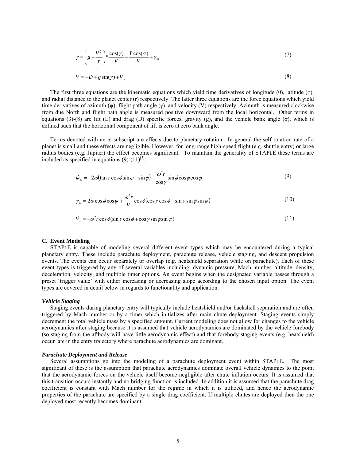$$
\dot{\gamma} = \left( g - \frac{V^2}{r} \right) * \frac{\cos(\gamma)}{V} - \frac{L\cos(\sigma)}{V} + \dot{\gamma}_\omega \tag{7}
$$

$$
\dot{V} = -D + g\sin(\gamma) + \dot{V}_\omega\tag{8}
$$

The first three equations are the kinematic equations which yield time derivatives of longitude  $(\theta)$ , latitude  $(\phi)$ , and radial distance to the planet center (r) respectively. The latter three equations are the force equations which yield time derivatives of azimuth (ψ), flight path angle (γ), and velocity (V) respectively. Azimuth is measured clockwise from due North and flight path angle is measured positive downward from the local horizontal. Other terms in equations (3)-(8) are lift (L) and drag (D) specific forces, gravity (g), and the vehicle bank angle (σ), which is defined such that the horizontal component of lift is zero at zero bank angle.

Terms denoted with an ω subscript are effects due to planetary rotation. In general the self rotation rate of a planet is small and these effects are negligible. However, for long-range high-speed flight (e.g. shuttle entry) or large radius bodies (e.g. Jupiter) the effect becomes significant. To maintain the generality of STAPLE these terms are included as specified in equations  $(9)-(11)^{[3]}$ .

$$
\dot{\psi}_{\omega} = -2\omega(\tan\gamma\cos\phi\sin\varphi + \sin\phi) - \frac{\omega^2 r}{\cos\gamma}\sin\phi\cos\phi\cos\varphi
$$
\n(9)

$$
\dot{\gamma}_{\omega} = 2\omega\cos\phi\cos\psi + \frac{\omega^2 r}{V}\cos\phi(\cos\gamma\cos\phi - \sin\gamma\sin\phi\sin\phi)
$$
(10)

$$
\dot{V}_\text{p} = -\omega^2 r \cos \phi (\sin \gamma \cos \phi + \cos \gamma \sin \phi \sin \psi) \tag{11}
$$

#### **C. Event Modeling**

STAPLE is capable of modeling several different event types which may be encountered during a typical planetary entry. These include parachute deployment, parachute release, vehicle staging, and descent propulsion events. The events can occur separately or overlap (e.g. heatshield separation while on parachute). Each of these event types is triggered by any of several variables including: dynamic pressure, Mach number, altitude, density, deceleration, velocity, and multiple timer options. An event begins when the designated variable passes through a preset 'trigger value' with either increasing or decreasing slope according to the chosen input option. The event types are covered in detail below in regards to functionality and application.

#### *Vehicle Staging*

Staging events during planetary entry will typically include heatshield and/or backshell separation and are often triggered by Mach number or by a timer which initializes after main chute deployment. Staging events simply decrement the total vehicle mass by a specified amount. Current modeling does not allow for changes to the vehicle aerodynamics after staging because it is assumed that vehicle aerodynamics are dominated by the vehicle forebody (so staging from the aftbody will have little aerodynamic effect) and that forebody staging events (e.g. heatshield) occur late in the entry trajectory where parachute aerodynamics are dominant.

#### *Parachute Deployment and Release*

Several assumptions go into the modeling of a parachute deployment event within STAPLE. The most significant of these is the assumption that parachute aerodynamics dominate overall vehicle dynamics to the point that the aerodynamic forces on the vehicle itself become negligible after chute inflation occurs. It is assumed that this transition occurs instantly and no bridging function is included. In addition it is assumed that the parachute drag coefficient is constant with Mach number for the regime in which it is utilized, and hence the aerodynamic properties of the parachute are specified by a single drag coefficient. If multiple chutes are deployed then the one deployed most recently becomes dominant.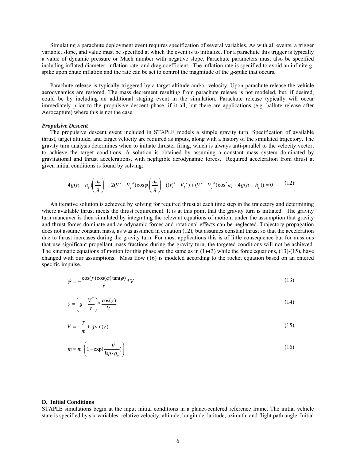Simulating a parachute deployment event requires specification of several variables. As with all events, a trigger variable, slope, and value must be specified at which the event is to initialize. For a parachute this trigger is typically a value of dynamic pressure or Mach number with negative slope. Parachute parameters must also be specified including inflated diameter, inflation rate, and drag coefficient. The inflation rate is specified to avoid an infinite gspike upon chute inflation and the rate can be set to control the magnitude of the g-spike that occurs.

Parachute release is typically triggered by a target altitude and/or velocity. Upon parachute release the vehicle aerodynamics are restored. The mass decrement resulting from parachute release is not modeled, but, if desired, could be by including an additional staging event in the simulation. Parachute release typically will occur immediately prior to the propulsive descent phase, if it all, but there are applications (e.g. ballute release after Aerocapture) where this is not the case.

#### *Propulsive Descent*

The propulsive descent event included in STAPLE models a simple gravity turn. Specification of available thrust, target altitude, and target velocity are required as inputs, along with a history of the simulated trajectory. The gravity turn analysis determines when to initiate thruster firing, which is always anti-parallel to the velocity vector, to achieve the target conditions. A solution is obtained by assuming a constant mass system dominated by gravitational and thrust accelerations, with negligible aerodynamic forces. Required acceleration from thrust at given initial conditions is found by solving:

$$
4g(h_i - h_f)\left(\frac{a_r}{g}\right)^2 - 2(V_i^2 - V_f^2)\cos\varphi_i\left(\frac{a_r}{g}\right) - ((V_i^2 - V_f^2) + (V_i^2 - V_f^2)\cos^2\varphi_i + 4g(h_i - h_f)) = 0
$$
 (12)

An iterative solution is achieved by solving for required thrust at each time step in the trajectory and determining where available thrust meets the thrust requirement. It is at this point that the gravity turn is initiated. The gravity turn maneuver is then simulated by integrating the relevant equations of motion, under the assumption that gravity and thrust forces dominate and aerodynamic forces and rotational effects can be neglected. Trajectory propagation does not assume constant mass, as was assumed in equation (12), but assumes constant thrust so that the acceleration due to thrust increases during the gravity turn. For most applications this is of little consequence but for missions that use significant propellant mass fractions during the gravity turn, the targeted conditions will not be achieved. The kinematic equations of motion for this phase are the same as in  $(1)-(3)$  while the force equations,  $(13)-(15)$ , have changed with our assumptions. Mass flow (16) is modeled according to the rocket equation based on an entered specific impulse.

$$
\dot{\psi} = -\frac{\cos(\gamma)\cos(\varphi)\tan(\phi)}{r} * V \tag{13}
$$

$$
\dot{\gamma} = \left(g - \frac{V^2}{r}\right) * \frac{\cos(\gamma)}{V} \tag{14}
$$

$$
\dot{V} = -\frac{T}{m} + g\sin(\gamma) \tag{15}
$$

$$
\dot{m} = m \cdot \left( 1 - \exp(\frac{-\dot{V}}{Isp \cdot g_e}) \right) \tag{16}
$$

#### **D. Initial Conditions**

STAPLE simulations begin at the input initial conditions in a planet-centered reference frame. The initial vehicle state is specified by six variables: relative velocity, altitude, longitude, latitude, azimuth, and flight path angle. Initial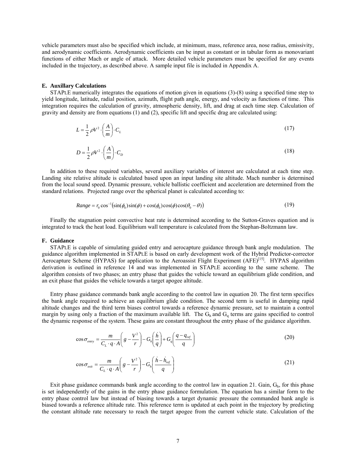vehicle parameters must also be specified which include, at minimum, mass, reference area, nose radius, emissivity, and aerodynamic coefficients. Aerodynamic coefficients can be input as constant or in tabular form as monovariant functions of either Mach or angle of attack. More detailed vehicle parameters must be specified for any events included in the trajectory, as described above. A sample input file is included in Appendix A.

#### **E. Auxillary Calculations**

STAPLE numerically integrates the equations of motion given in equations (3)-(8) using a specified time step to yield longitude, latitude, radial position, azimuth, flight path angle, energy, and velocity as functions of time. This integration requires the calculation of gravity, atmospheric density, lift, and drag at each time step. Calculation of gravity and density are from equations (1) and (2), specific lift and specific drag are calculated using:

$$
L = \frac{1}{2} \rho V^2 \cdot \left(\frac{A}{m}\right) \cdot C_L \tag{17}
$$

$$
D = \frac{1}{2}\rho V^2 \cdot \left(\frac{A}{m}\right) \cdot C_D \tag{18}
$$

In addition to these required variables, several auxiliary variables of interest are calculated at each time step. Landing site relative altitude is calculated based upon an input landing site altitude. Mach number is determined from the local sound speed. Dynamic pressure, vehicle ballistic coefficient and acceleration are determined from the standard relations. Projected range over the spherical planet is calculated according to:

$$
Range = r_0 \cos^{-1}(\sin(\phi_0)\sin(\phi) + \cos(\phi_0)\cos(\phi)\cos(\theta_0 - \theta))
$$
\n(19)

Finally the stagnation point convective heat rate is determined according to the Sutton-Graves equation and is integrated to track the heat load. Equilibrium wall temperature is calculated from the Stephan-Boltzmann law.

#### **F. Guidance**

STAPLE is capable of simulating guided entry and aerocapture guidance through bank angle modulation. The guidance algorithm implemented in STAPLE is based on early development work of the Hybrid Predictor-corrector Aerocapture Scheme (HYPAS) for application to the Aeroassist Flight Experiment (AFE)<sup>[15]</sup>. HYPAS algorithm derivation is outlined in reference 14 and was implemented in STAPLE according to the same scheme. The algorithm consists of two phases; an entry phase that guides the vehicle toward an equilibrium glide condition, and an exit phase that guides the vehicle towards a target apogee altitude.

Entry phase guidance commands bank angle according to the control law in equation 20. The first term specifies the bank angle required to achieve an equilibrium glide condition. The second term is useful in damping rapid altitude changes and the third term biases control towards a reference dynamic pressure, set to maintain a control margin by using only a fraction of the maximum available lift. The  $G_h$  and  $G_q$  terms are gains specified to control the dynamic response of the system. These gains are constant throughout the entry phase of the guidance algorithm.

$$
\cos \sigma_{\text{entry}} = \frac{m}{C_L \cdot q \cdot A} \left( g - \frac{V^2}{r} \right) - G_h \left( \frac{h}{q} \right) + G_q \left( \frac{q - q_{\text{ref}}}{q} \right) \tag{20}
$$

$$
\cos \sigma_{\text{exit}} = \frac{m}{C_L \cdot q \cdot A} \left( g - \frac{V^2}{r} \right) - G_h \left( \frac{\dot{h} - \dot{h}_{\text{ref}}}{q} \right) \tag{21}
$$

Exit phase guidance commands bank angle according to the control law in equation 21. Gain,  $G<sub>h</sub>$ , for this phase is set independently of the gains in the entry phase guidance formulation. The equation has a similar form to the entry phase control law but instead of biasing towards a target dynamic pressure the commanded bank angle is biased towards a reference altitude rate. This reference term is updated at each point in the trajectory by predicting the constant altitude rate necessary to reach the target apogee from the current vehicle state. Calculation of the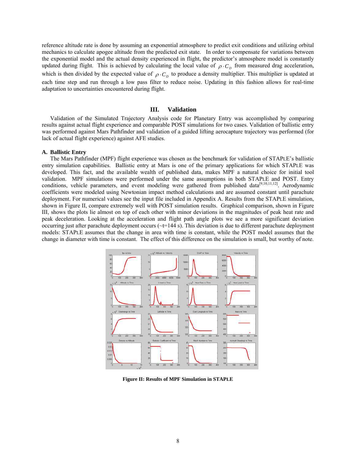reference altitude rate is done by assuming an exponential atmosphere to predict exit conditions and utilizing orbital mechanics to calculate apogee altitude from the predicted exit state. In order to compensate for variations between the exponential model and the actual density experienced in flight, the predictor's atmosphere model is constantly updated during flight. This is achieved by calculating the local value of  $\rho \cdot C_p$  from measured drag acceleration, which is then divided by the expected value of  $\rho \cdot C_p$  to produce a density multiplier. This multiplier is updated at each time step and run through a low pass filter to reduce noise. Updating in this fashion allows for real-time adaptation to uncertainties encountered during flight.

#### **III. Validation**

Validation of the Simulated Trajectory Analysis code for Planetary Entry was accomplished by comparing results against actual flight experience and comparable POST simulations for two cases. Validation of ballistic entry was performed against Mars Pathfinder and validation of a guided lifting aerocapture trajectory was performed (for lack of actual flight experience) against AFE studies.

#### **A. Ballistic Entry**

The Mars Pathfinder (MPF) flight experience was chosen as the benchmark for validation of STAPLE's ballistic entry simulation capabilities. Ballistic entry at Mars is one of the primary applications for which STAPLE was developed. This fact, and the available wealth of published data, makes MPF a natural choice for initial tool validation. MPF simulations were performed under the same assumptions in both STAPLE and POST. Entry conditions, vehicle parameters, and event modeling were gathered from published data<sup>[9,10,11,12]</sup>. Aerodynamic coefficients were modeled using Newtonian impact method calculations and are assumed constant until parachute deployment. For numerical values see the input file included in Appendix A. Results from the STAPLE simulation, shown in Figure II, compare extremely well with POST simulation results. Graphical comparison, shown in Figure III, shows the plots lie almost on top of each other with minor deviations in the magnitudes of peak heat rate and peak deceleration. Looking at the acceleration and flight path angle plots we see a more significant deviation occurring just after parachute deployment occurs  $(\sim t=144 \text{ s})$ . This deviation is due to different parachute deployment models: STAPLE assumes that the change in area with time is constant, while the POST model assumes that the change in diameter with time is constant. The effect of this difference on the simulation is small, but worthy of note.



**Figure II: Results of MPF Simulation in STAPLE**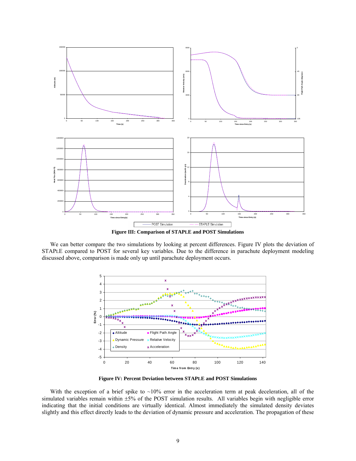

**Figure III: Comparison of STAPLE and POST Simulations** 

We can better compare the two simulations by looking at percent differences. Figure IV plots the deviation of STAPLE compared to POST for several key variables. Due to the difference in parachute deployment modeling discussed above, comparison is made only up until parachute deployment occurs.



**Figure IV: Percent Deviation between STAPLE and POST Simulations** 

With the exception of a brief spike to  $\sim 10\%$  error in the acceleration term at peak deceleration, all of the simulated variables remain within  $\pm 5\%$  of the POST simulation results. All variables begin with negligible error indicating that the initial conditions are virtually identical. Almost immediately the simulated density deviates slightly and this effect directly leads to the deviation of dynamic pressure and acceleration. The propagation of these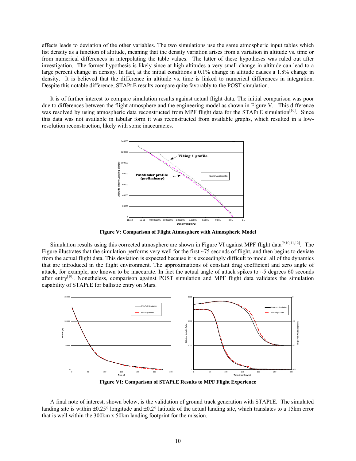effects leads to deviation of the other variables. The two simulations use the same atmospheric input tables which list density as a function of altitude, meaning that the density variation arises from a variation in altitude vs. time or from numerical differences in interpolating the table values. The latter of these hypotheses was ruled out after investigation. The former hypothesis is likely since at high altitudes a very small change in altitude can lead to a large percent change in density. In fact, at the initial conditions a 0.1% change in altitude causes a 1.8% change in density. It is believed that the difference in altitude vs. time is linked to numerical differences in integration. Despite this notable difference, STAPLE results compare quite favorably to the POST simulation.

It is of further interest to compare simulation results against actual flight data. The initial comparison was poor due to differences between the flight atmosphere and the engineering model as shown in Figure V. This difference was resolved by using atmospheric data reconstructed from MPF flight data for the STAPLE simulation<sup>[10]</sup>. Since this data was not available in tabular form it was reconstructed from available graphs, which resulted in a lowresolution reconstruction, likely with some inaccuracies.



**Figure V: Comparison of Flight Atmosphere with Atmospheric Model** 

Simulation results using this corrected atmosphere are shown in Figure VI against MPF flight data<sup>[9,10,11,12]</sup>. The Figure illustrates that the simulation performs very well for the first  $\sim$ 75 seconds of flight, and then begins to deviate from the actual flight data. This deviation is expected because it is exceedingly difficult to model all of the dynamics that are introduced in the flight environment. The approximations of constant drag coefficient and zero angle of attack, for example, are known to be inaccurate. In fact the actual angle of attack spikes to ~5 degrees 60 seconds after entry<sup>[10]</sup>. Nonetheless, comparison against POST simulation and MPF flight data validates the simulation capability of STAPLE for ballistic entry on Mars.



**Figure VI: Comparison of STAPLE Results to MPF Flight Experience**

A final note of interest, shown below, is the validation of ground track generation with STAPLE. The simulated landing site is within  $\pm 0.25^\circ$  longitude and  $\pm 0.2^\circ$  latitude of the actual landing site, which translates to a 15km error that is well within the 300km x 50km landing footprint for the mission.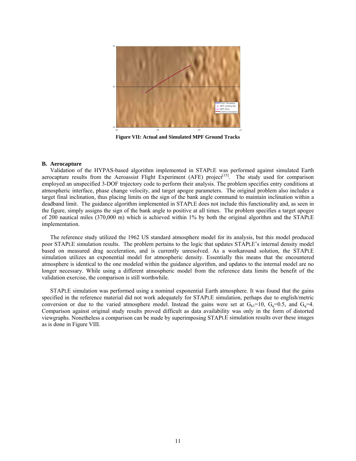

**Figure VII: Actual and Simulated MPF Ground Tracks** 

#### **B. Aerocapture**

Validation of the HYPAS-based algorithm implemented in STAPLE was performed against simulated Earth aerocapture results from the Aeroassist Flight Experiment (AFE) project<sup>[15]</sup>. The study used for comparison employed an unspecified 3-DOF trajectory code to perform their analysis. The problem specifies entry conditions at atmospheric interface, phase change velocity, and target apogee parameters. The original problem also includes a target final inclination, thus placing limits on the sign of the bank angle command to maintain inclination within a deadband limit. The guidance algorithm implemented in STAPLE does not include this functionality and, as seen in the figure, simply assigns the sign of the bank angle to positive at all times. The problem specifies a target apogee of 200 nautical miles (370,000 m) which is achieved within 1% by both the original algorithm and the STAPLE implementation.

The reference study utilized the 1962 US standard atmosphere model for its analysis, but this model produced poor STAPLE simulation results. The problem pertains to the logic that updates STAPLE's internal density model based on measured drag acceleration, and is currently unresolved. As a workaround solution, the STAPLE simulation utilizes an exponential model for atmospheric density. Essentially this means that the encountered atmosphere is identical to the one modeled within the guidance algorithm, and updates to the internal model are no longer necessary. While using a different atmospheric model from the reference data limits the benefit of the validation exercise, the comparison is still worthwhile.

STAPLE simulation was performed using a nominal exponential Earth atmosphere. It was found that the gains specified in the reference material did not work adequately for STAPLE simulation, perhaps due to english/metric conversion or due to the varied atmosphere model. Instead the gains were set at  $G_{h1}=10$ ,  $G_q=0.5$ , and  $G_q=4$ . Comparison against original study results proved difficult as data availability was only in the form of distorted viewgraphs. Nonetheless a comparison can be made by superimposing STAPLE simulation results over these images as is done in Figure VIII.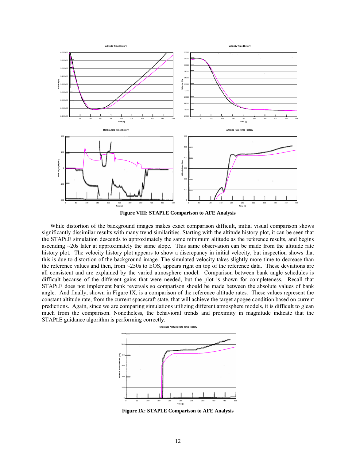

**Figure VIII: STAPLE Comparison to AFE Analysis** 

While distortion of the background images makes exact comparison difficult, initial visual comparison shows significantly dissimilar results with many trend similarities. Starting with the altitude history plot, it can be seen that the STAPLE simulation descends to approximately the same minimum altitude as the reference results, and begins ascending ~20s later at approximately the same slope. This same observation can be made from the altitude rate history plot. The velocity history plot appears to show a discrepancy in initial velocity, but inspection shows that this is due to distortion of the background image. The simulated velocity takes slightly more time to decrease than the reference values and then, from ~250s to EOS, appears right on top of the reference data. These deviations are all consistent and are explained by the varied atmosphere model. Comparison between bank angle schedules is difficult because of the different gains that were needed, but the plot is shown for completeness. Recall that STAPLE does not implement bank reversals so comparison should be made between the absolute values of bank angle. And finally, shown in Figure IX, is a comparison of the reference altitude rates. These values represent the constant altitude rate, from the current spacecraft state, that will achieve the target apogee condition based on current predictions. Again, since we are comparing simulations utilizing different atmosphere models, it is difficult to glean much from the comparison. Nonetheless, the behavioral trends and proximity in magnitude indicate that the STAPLE guidance algorithm is performing correctly.



**Figure IX: STAPLE Comparison to AFE Analysis**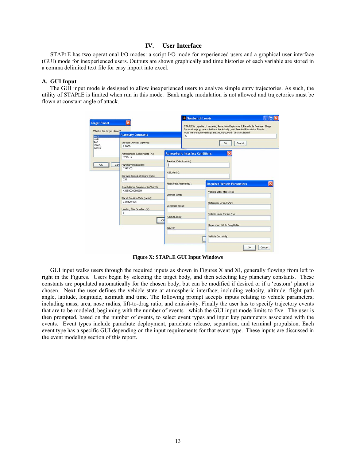#### **IV. User Interface**

STAPLE has two operational I/O modes: a script I/O mode for experienced users and a graphical user interface (GUI) mode for inexperienced users. Outputs are shown graphically and time histories of each variable are stored in a comma delimited text file for easy import into excel.

#### **A. GUI Input**

The GUI input mode is designed to allow inexperienced users to analyze simple entry trajectories. As such, the utility of STAPLE is limited when run in this mode. Bank angle modulation is not allowed and trajectories must be flown at constant angle of attack.

| <b>Target Planet</b><br>What is the target planet2                       |                                                                                                      |                          |                                         | STAPLE is capable of modeling Parachute Deployment, Parachute Release, Stage<br>Separation (e.g. heatshield and backshell), and Terminal Propulsion Events.<br>How many such events (5 maximum) occur in this simulation? |  |
|--------------------------------------------------------------------------|------------------------------------------------------------------------------------------------------|--------------------------|-----------------------------------------|---------------------------------------------------------------------------------------------------------------------------------------------------------------------------------------------------------------------------|--|
| mars                                                                     | <b>Planetary Constants</b>                                                                           |                          | 5                                       |                                                                                                                                                                                                                           |  |
| earth<br>titan<br>veraus<br>custom                                       | Surface Density (kg/m <sup>2</sup> 3):<br>0.0068                                                     |                          |                                         | Cancel<br>OK                                                                                                                                                                                                              |  |
|                                                                          | Atmospheric Scale Height (m):                                                                        |                          | <b>Atmospheric Interface Conditions</b> |                                                                                                                                                                                                                           |  |
|                                                                          | 17391.3                                                                                              |                          |                                         |                                                                                                                                                                                                                           |  |
| Planetary Radius (m):<br>Can<br>3397200<br>Surface Speed of Sound (m/s): |                                                                                                      | Relative Velocity (m/s): |                                         |                                                                                                                                                                                                                           |  |
|                                                                          |                                                                                                      |                          |                                         |                                                                                                                                                                                                                           |  |
|                                                                          |                                                                                                      | Atitude (m):             |                                         |                                                                                                                                                                                                                           |  |
|                                                                          | 222                                                                                                  | Flight Path Angle (deg): |                                         |                                                                                                                                                                                                                           |  |
|                                                                          | Gravitational Parameter (m^3/s^2):<br>43050000000000<br>Planet Rotation Rate (rad/s):<br>7.0882e-005 |                          |                                         | <b>Required Vehicle Parameters</b>                                                                                                                                                                                        |  |
|                                                                          |                                                                                                      | Latitude (deg):          |                                         | Vehicle Entry Mass (kg):                                                                                                                                                                                                  |  |
|                                                                          |                                                                                                      |                          |                                         |                                                                                                                                                                                                                           |  |
|                                                                          | Landing Site Elevation (m):                                                                          | Longitude (deg):         |                                         | Reference Area (m^2):                                                                                                                                                                                                     |  |
|                                                                          | $^{\circ}$                                                                                           |                          |                                         | Vehicle Nose Radius (m):                                                                                                                                                                                                  |  |
|                                                                          | Azimuth (deg):<br>OK                                                                                 |                          |                                         |                                                                                                                                                                                                                           |  |
|                                                                          | Time(s)                                                                                              |                          | Hypersonic Lift to Drag Ratio:          |                                                                                                                                                                                                                           |  |
|                                                                          |                                                                                                      |                          |                                         | Vehicle Emissivity:                                                                                                                                                                                                       |  |

**Figure X: STAPLE GUI Input Windows**

GUI input walks users through the required inputs as shown in Figures X and XI, generally flowing from left to right in the Figures. Users begin by selecting the target body, and then selecting key planetary constants. These constants are populated automatically for the chosen body, but can be modified if desired or if a 'custom' planet is chosen. Next the user defines the vehicle state at atmospheric interface; including velocity, altitude, flight path angle, latitude, longitude, azimuth and time. The following prompt accepts inputs relating to vehicle parameters; including mass, area, nose radius, lift-to-drag ratio, and emissivity. Finally the user has to specify trajectory events that are to be modeled, beginning with the number of events - which the GUI input mode limits to five. The user is then prompted, based on the number of events, to select event types and input key parameters associated with the events. Event types include parachute deployment, parachute release, separation, and terminal propulsion. Each event type has a specific GUI depending on the input requirements for that event type. These inputs are discussed in the event modeling section of this report.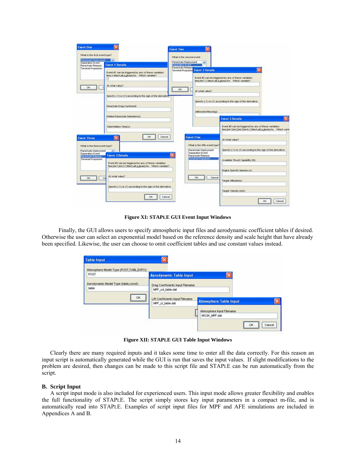| Parachute Deployment                                                      | What is the first event type?<br>×                                             | What is the second event<br>Parachute Deployment |                                                                           |                                                                                                                     |  |
|---------------------------------------------------------------------------|--------------------------------------------------------------------------------|--------------------------------------------------|---------------------------------------------------------------------------|---------------------------------------------------------------------------------------------------------------------|--|
| Separation Evert<br>Parachute Release<br>Terminal Propulsion              | <b>Event 1 Details</b><br>Event #1 can be triggered by any of these variables: | <b>Separation Event</b><br>Parachute Release     | <b>Terminal Propulsion Event 2 Details</b>                                |                                                                                                                     |  |
|                                                                           | time, V, Mach, alt, g, gload rho Which variable?                               |                                                  |                                                                           | Event #2 can be triggered by any of these variables:<br>time tmr1,V,Mach,alt,g,gload,rho Which variable?            |  |
| OK                                                                        | At what value?                                                                 | <b>OK</b>                                        | <b>At what value?</b>                                                     |                                                                                                                     |  |
|                                                                           | Specify (-1) or (1) according to the sign of the derivative."                  |                                                  |                                                                           | Specify (-1) or (1) according to the sign of the derivative:                                                        |  |
|                                                                           | Parachute Drag Coefficient:                                                    |                                                  | Jettisoned Mass(kg):                                                      |                                                                                                                     |  |
|                                                                           | Inflated Parachute Diameter(m):                                                |                                                  |                                                                           | <b>Event 5 Details</b>                                                                                              |  |
|                                                                           | Total Inflation Time(s):                                                       |                                                  |                                                                           | Event #5 can be triggered by any of these variables:<br>time tmr1 tmr2 tmr3 tmr4 V Mach alt g gload rho Vihich vani |  |
| <b>Event Three</b>                                                        | OК                                                                             | Cancel                                           | <b>Event Five</b>                                                         | At what value?                                                                                                      |  |
| What is the third event type?<br>Parachute Deployment<br>Separation Event |                                                                                | ×                                                | What is the fifth event type?<br>Parachute Deployment<br>Separation Event | Specify (-1) or (1) according to the sign of the derivative:                                                        |  |
| Parachute Release<br>Terminal Propulsion                                  | <b>Event 3 Details</b><br>Event #3 can be triggered by any of these variables: |                                                  | Parachute Release<br>Terminal Propulsion                                  | Available Thrust Capabilty (N):                                                                                     |  |
|                                                                           | time trir1 trir2 V Mach all q gload rho V Mich variable?                       |                                                  |                                                                           | Engine Specific Impulse (s)                                                                                         |  |
| <b>OK</b><br>Co                                                           | <b>At what value?</b>                                                          |                                                  | <b>OK</b><br>Cancel                                                       | Target Alttude(m):                                                                                                  |  |
|                                                                           | Specify (-1) or (1) according to the sign of the derivative:                   |                                                  |                                                                           | Target Velocity (m/s)                                                                                               |  |

**Figure XI: STAPLE GUI Event Input Windows**

Finally, the GUI allows users to specify atmospheric input files and aerodynamic coefficient tables if desired. Otherwise the user can select an exponential model based on the reference density and scale height that have already been specified. Likewise, the user can choose to omit coefficient tables and use constant values instead.

| Atmosphere Model Type (POST,TABL,EXPO): |                                   |                               |  |
|-----------------------------------------|-----------------------------------|-------------------------------|--|
| POST                                    | <b>Aerodynamic Table Input</b>    |                               |  |
| Aerodynamic Model Type (table const)    | Drag Coefficients Input Filename: |                               |  |
| table                                   | MPF_cd_table.dat                  |                               |  |
| <b>OK</b>                               | Lift Coefficients Input Filename: |                               |  |
|                                         | MPF_cl_table.dat                  | <b>Atmosphere Table Input</b> |  |
|                                         |                                   | Atmosphere Input Filename:    |  |
|                                         |                                   | MG2K MPF.dat                  |  |

**Figure XII: STAPLE GUI Table Input Windows**

Clearly there are many required inputs and it takes some time to enter all the data correctly. For this reason an input script is automatically generated while the GUI is run that saves the input values. If slight modifications to the problem are desired, then changes can be made to this script file and STAPLE can be run automatically from the script.

#### **B. Script Input**

A script input mode is also included for experienced users. This input mode allows greater flexibility and enables the full functionality of STAPLE. The script simply stores key input parameters in a compact m-file, and is automatically read into STAPLE. Examples of script input files for MPF and AFE simulations are included in Appendices A and B.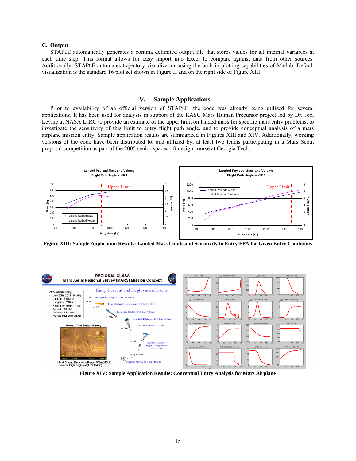#### **C. Output**

STAPLE automatically generates a comma delimited output file that stores values for all internal variables at each time step. This format allows for easy import into Excel to compare against data from other sources. Additionally, STAPLE automates trajectory visualization using the built-in plotting capabilities of Matlab. Default visualization is the standard 16 plot set shown in Figure II and on the right side of Figure XIII.

#### **V. Sample Applications**

Prior to availability of an official version of STAPLE, the code was already being utilized for several applications. It has been used for analysis in support of the RASC Mars Human Precursor project led by Dr. Joel Levine at NASA LaRC to provide an estimate of the upper limit on landed mass for specific mars entry problems, to investigate the sensitivity of this limit to entry flight path angle, and to provide conceptual analysis of a mars airplane mission entry. Sample application results are summarized in Figures XIII and XIV. Additionally, working versions of the code have been distributed to, and utilized by, at least two teams participating in a Mars Scout proposal competition as part of the 2005 senior spacecraft design course at Georgia Tech.



**Figure XIII: Sample Application Results: Landed Mass Limits and Sensitivity to Entry FPA for Given Entry Conditions** 



**Figure XIV: Sample Application Results: Conceptual Entry Analysis for Mars Airplane**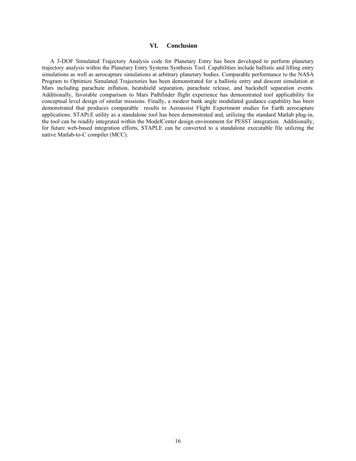#### **VI. Conclusion**

A 3-DOF Simulated Trajectory Analysis code for Planetary Entry has been developed to perform planetary trajectory analysis within the Planetary Entry Systems Synthesis Tool. Capabilities include ballistic and lifting entry simulations as well as aerocapture simulations at arbitrary planetary bodies. Comparable performance to the NASA Program to Optimize Simulated Trajectories has been demonstrated for a ballistic entry and descent simulation at Mars including parachute inflation, heatshield separation, parachute release, and backshell separation events. Additionally, favorable comparison to Mars Pathfinder flight experience has demonstrated tool applicability for conceptual level design of similar missions. Finally, a modest bank angle modulated guidance capability has been demonstrated that produces comparable results to Aeroassist Flight Experiment studies for Earth aerocapture applications. STAPLE utility as a standalone tool has been demonstrated and, utilizing the standard Matlab plug-in, the tool can be readily integrated within the ModelCenter design environment for PESST integration. Additionally, for future web-based integration efforts, STAPLE can be converted to a standalone executable file utilizing the native Matlab-to-C compiler (MCC).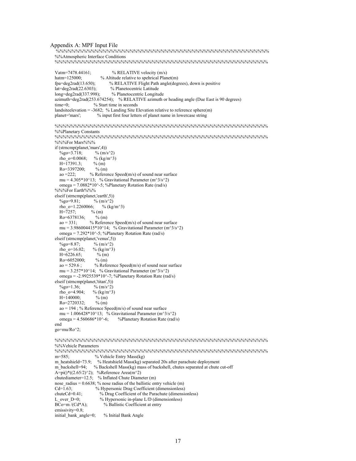```
Appendix A: MPF Input File %%%%%%%%%%%%%%%%%%%%%%%%%%%%%%%%%%%%%%%%%%%%%%%%%%%%%%% 
   %%Atmospheric Interface Conditions 
   %%%%%%%%%%%%%%%%%%%%%%%%%%%%%%%%%%%%%%%%%%%%%%%%%%%%%%% 
  Vatm=7478.44161; \% RELATIVE velocity (m/s)hatm=125000; % Altitude relative to spehrical Planet(m) fpa=deg2rad(13.650); % RELATIVE Flight Path angle(deg)
                             % RELATIVE Flight Path angle(degrees), down is positive
  lat=deg2rad(22.6303); % Planetocentric Latitude
   long=deg2rad(337.998); % Planetocentric Longitude 
  azimuth=deg2rad(253.674254); % RELATIVE azimuth or heading angle (Due East is 90 degrees)<br>time=0: % Start time in seconds
                      % Start time in seconds
  landsite elevation = -3682; % Landing Site Elevation relative to reference sphere(m)
   planet='mars'; % input first four letters of planet name in lowercase string 
   %%%%%%%%%%%%%%%%%%%%%%%%%%%%%%%%%%%%%%%%%%%%%%%%%%%%%%% 
   %%Planetary Constants 
   %%%%%%%%%%%%%%%%%%%%%%%%%%%%%%%%%%%%%%%%%%%%%%%%%%%%%%% 
   %%%For Mars%%% 
   if (strncmp(planet,'mars',4)) 
    \%go=3.718; % (m/s^2)
    rho_o=0.0068; % (kg/m^3)
    H=\overline{17391.3}; % (m)
    Ro=3397200; % (m)<br>ao =222; % Refere
                    % Reference Speed(m/s) of sound near surface
    mu = 4.305*10^13; % Gravitational Parameter (m<sup>3/5^2</sup>)
     omega = 7.0882*10^-5; %Planetary Rotation Rate (rad/s)
   %%%For Earth%%% 
  elseif (strncmp(planet,'earth',5))<br>%go=9.81; % (m/s^2)
    \%go=9.81;
    rho_0=1.2260066; % (kg/m^3)
    H=7257; % (m)<br>Ro=6378136; % (m)
    Ro = 6378136ao = 331; % Reference Speed(m/s) of sound near surface
    mu = 3.986004415*10^14; % Gravitational Parameter (m^3/s^2) omega = 7.292*10^-5; %Planetary Rotation Rate (rad/s)
   elseif (strncmp(planet,'venus',5)) 
    %go=8.87; % (m/s^2)<br>rho_o=16.02; % (kg/m^3)
    rho^-o=16.02;
    H=6226.65; % (m)<br>Ro=6052000; % (m)
    Ro=6052000;<br>ao=529.6;% Reference Speed(m/s) of sound near surface
    mu = 3.257*10^14; % Gravitational Parameter (m<sup>3/5^2</sup>)
     omega = -2.9925539*10^-7; %Planetary Rotation Rate (rad/s)
   elseif (strncmp(planet,'titan',5)) 
    \%go=1.36; \% (m/s^2)
    rho_o=4.904; % (kg/m^3)
    H = \overline{1}40000; % (m)
     Ro=2720332; % (m) 
     ao = 194 ; % Reference Speed(m/s) of sound near surface 
    mu = 1.006428*10^13; % Gravitational Parameter (m<sup>3/5^2</sup>)
    omega = 4.560686*10^{\circ}-6; %Planetary Rotation Rate (rad/s)
   end
   go=mu/Ro^2; 
   %%%%%%%%%%%%%%%%%%%%%%%%%%%%%%%%%%%%%%%%%%%%%%%%%%%%%%% 
   %%Vehicle Parameters 
   %%%%%%%%%%%%%%%%%%%%%%%%%%%%%%%%%%%%%%%%%%%%%%%%%%%%%%% 
  m=585; % Vehicle Entry Mass(kg)
   m_heatshield=73.9; % Heatshield Mass(kg) separated 20s after parachute deployment 
  m_backshell=94; % Backshell Mass(kg) mass of backshell, chutes separated at chute cut-off
  A=pi()*((2.65/2)^2); %Reference Area(m^2)
   chutediameter=12.5; % Inflated Chute Diameter (m)
   nose_radius = 0.6638; % nose radius of the ballistic entry vehicle (m) 
  Cd=1.63; % Hypersonic Drag Coefficient (dimensionless)<br>chuteCd=0.41; % Drag Coefficient of the Parachute (dimensionless)
  chuteCd=0.41; % Drag Coefficient of the Parachute (dimensionless)<br>L over D=0; % Hypersonic in-plane L/D (dimensionless)
  L_over_D=0; % Hypersonic in-plane L/D (dimensionless)<br>BCo=m/(Cd*A); % Ballistic Coefficient at entry
                           % Ballistic Coefficient at entry
   emissivity=0.8; 
  initial bank angle=0; \% Initial Bank Angle
```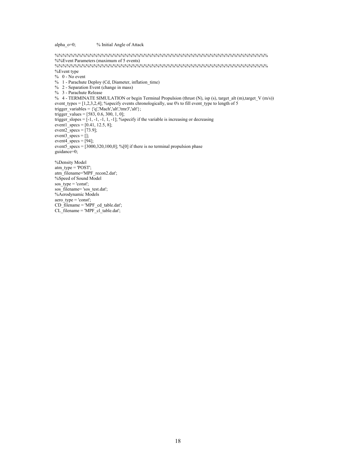alpha\_o=0; % Initial Angle of Attack %%%%%%%%%%%%%%%%%%%%%%%%%%%%%%%%%%%%%%%%%%%%%%%%%%%%%%% %%Event Parameters (maximum of 5 events) %%%%%%%%%%%%%%%%%%%%%%%%%%%%%%%%%%%%%%%%%%%%%%%%%%%%%%% %Event type  $% 0 - No event$  % 1 - Parachute Deploy (Cd, Diameter, inflation\_time) % 2 - Separation Event (change in mass) % 3 - Parachute Release % 4 - TERMINATE SIMULATION or begin Terminal Propulsion (thrust  $(N)$ , isp (s), target alt  $(m)$ ,target V  $(m/s)$ ) event\_types =  $[1,2,3,2,4]$ ; %specify events chronologically, use 0's to fill event\_type to length of 5 trigger\_variables =  $\{q', Mach', 'alt', 'tmr3', 'alt'\};$ trigger\_values =  $[583, 0.6, 300, 1, 0]$ ; trigger slopes  $=[-1, -1, -1, 1, -1]$ ; %specify if the variable is increasing or decreasing event $1$  specs = [0.41, 12.5, 8]; event $2$ \_specs = [73.9]; event $3$ \_specs = []; event4\_specs =  $[94]$ ; event $5\overline{\phantom{a}}$  specs = [3000,320,100,0]; %[0] if there is no terminal propulsion phase guidance=0; %Density Model atm\_type =  $'POST'$ ; atm\_filename='MPF\_recon2.dat'; %Speed of Sound Model sos\_type = 'const'; sos\_filename= 'sos\_test.dat'; %Aerodynamic Models aero  $type = 'const'$ ; CD\_filename = 'MPF\_cd\_table.dat';

```
CL_filename = 'MPF_cl_table.dat';
```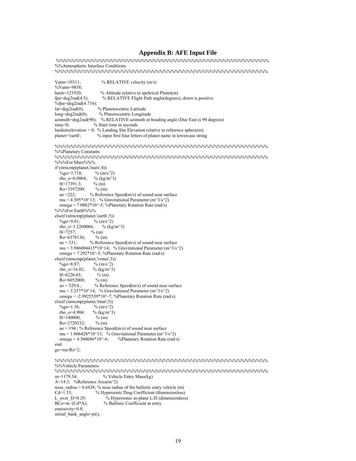#### **Appendix B: AFE Input File**

 $\% % {\cal N} - 88 % {\cal N} - 88 % {\cal N} - 88 % {\cal N} - 88 % {\cal N} - 88 % {\cal N} - 88 % {\cal N} - 88 % {\cal N} - 88 % {\cal N} - 88 % {\cal N} - 88 % {\cal N} - 88 % {\cal N} - 88 % {\cal N} - 88 % {\cal N} - 88 % {\cal N} - 88 % {\cal N} - 88 % {\cal N} - 88 % {\cal N} - 88 % {\cal N} - 88 % {\cal N} - 88 % {\cal N} - 88 % {\cal N} - 88 % {\cal N} - 88 % {\cal N} - 88 % {\$  %%Atmospheric Interface Conditions %%%%%%%%%%%%%%%%%%%%%%%%%%%%%%%%%%%%%%%%%%%%%%%%%%%%%%% Vatm=10311; % RELATIVE velocity (m/s) %Vatm=9838;<br>hatm=121920:  $%$  Altitude relative to spehrical Planet(m) fpa=deg2rad(4.5); % RELATIVE Flight Path angle(degrees), down is positive  $\%$ fpa=deg2rad(4.716); lat=deg2rad(0); % Planetocentric Latitude<br>long=deg2rad(0); % Planetocentric Longitu % Planetocentric Longitude azimuth=deg2rad(90); % RELATIVE azimuth or heading angle (Due East is 90 degrees) time=0; % Start time in seconds landsiteelevation = 0; % Landing Site Elevation relative to reference sphere(m) planet='earth'; % input first four letters of planet name in lowercase string % input first four letters of planet name in lowercase string %%%%%%%%%%%%%%%%%%%%%%%%%%%%%%%%%%%%%%%%%%%%%%%%%%%%%%% %%Planetary Constants %%%%%%%%%%%%%%%%%%%%%%%%%%%%%%%%%%%%%%%%%%%%%%%%%%%%%%% %%%For Mars%%% if (strncmp(planet,'mars',4)) %go=3.718; % (m/s^2)<br>rho o=0.0068; % (kg/m^3) rho $^-$ o=0.0068;  $H=\overline{17391.3}$ ; % (m) Ro=3397200; % (m)<br>ao =222; % Referen  $%$  Reference Speed(m/s) of sound near surface mu =  $4.305*10^13$ ; % Gravitational Parameter (m<sup> $3/5^2$ </sup>) omega = 7.0882\*10^-5; %Planetary Rotation Rate (rad/s) %%%For Earth%%% elseif (strncmp(planet,'earth',5))<br>  $\frac{\%}{}_{90}$ =9.81;  $\frac{\%}{}_{00}$  (m/s^2) %go=9.81; % (m/s^2)<br>rho\_o=1.2260066; % (kg/m^3) rho $^-$ o=1.2260066;  $H = 7257$ ; % (m)  $Ro=6378136$ ; % (m)  $ao = 331$ ; % Reference Speed(m/s) of sound near surface mu = 3.986004415\*10^14; % Gravitational Parameter (m^3/s^2) omega = 7.292\*10^-5; %Planetary Rotation Rate (rad/s) elseif (strncmp(planet,'venus',5))  $\%$ go=8.87; % (m/s^2) rho\_o=16.02; % (kg/m^3)  $H=\overline{6226.65}$ ; % (m)<br>Ro=6052000: % (m)  $Ro=6052000$  $ao = 529.6$ ; % Reference Speed(m/s) of sound near surface mu =  $3.257*10^14$ ; % Gravitational Parameter (m<sup> $3/5^2$ </sup>) omega = -2.9925539\*10^-7; %Planetary Rotation Rate (rad/s) elseif (strncmp(planet,'titan',5))  $\%$ go=1.36;  $\%$  (m/s^2) rho  $o=4.904$ ; % (kg/m<sup> $\sim$ 3)</sup>  $H=\overline{140000}$ ; % (m)<br>Ro=2720332; % (m)  $Ro=2720332;$  $ao = 194$ ; % Reference Speed(m/s) of sound near surface mu = 1.006428\*10^13; % Gravitational Parameter (m^3/s^2)<br>omega = 4.560686\*10^-6; %Planetary Rotation Rate (rad/ %Planetary Rotation Rate (rad/s) end go=mu/Ro^2; %%%%%%%%%%%%%%%%%%%%%%%%%%%%%%%%%%%%%%%%%%%%%%%%%%%%%%% %%Vehicle Parameters %%%%%%%%%%%%%%%%%%%%%%%%%%%%%%%%%%%%%%%%%%%%%%%%%%%%%%%  $%$  Vehicle Entry Mass(kg) A=14.3; %Reference Area(m^2) nose radius =  $0.6638$ ; % nose radius of the ballistic entry vehicle (m) Cd=1.53; <br>
We Hypersonic Drag Coefficient (dimensionless)<br>
L over D=0.29; <br>  $\%$  Hypersonic in-plane L/D (dimensionless)  $%$  Hypersonic in-plane L/D (dimensionless) BCo=m /(Cd\*A); % Ballistic Coefficient at entry emissivity=0.8; initial\_bank\_angle=pi();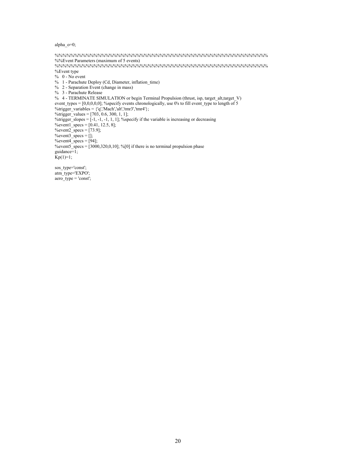#### alpha\_o=0;

 $\% % {\cal N}_k = \frac{1}{2} \times \frac{1}{2} \times \frac{1}{2} \times \frac{1}{2} \times \frac{1}{2} \times \frac{1}{2} \times \frac{1}{2} \times \frac{1}{2} \times \frac{1}{2} \times \frac{1}{2} \times \frac{1}{2} \times \frac{1}{2} \times \frac{1}{2} \times \frac{1}{2} \times \frac{1}{2} \times \frac{1}{2} \times \frac{1}{2} \times \frac{1}{2} \times \frac{1}{2} \times \frac{1}{2} \times \frac{1}{2} \times \frac{1}{2} \times \frac{1}{2} \times \frac{1$  %%Event Parameters (maximum of 5 events) %%%%%%%%%%%%%%%%%%%%%%%%%%%%%%%%%%%%%%%%%%%%%%%%%%%%%%% %Event type  $% 0 - No event$  % 1 - Parachute Deploy (Cd, Diameter, inflation\_time) % 2 - Separation Event (change in mass) % 3 - Parachute Release % 4 - TERMINATE SIMULATION or begin Terminal Propulsion (thrust, isp, target\_alt,target\_V) event\_types =  $[0,0,0,0,0]$ ; %specify events chronologically, use 0's to fill event\_type to length of 5 %trigger\_variables =  $\{q', Mach', alt', tmr3', tmr4'\}$ ; %trigger\_values =  $[703, 0.6, 300, 1, 1]$ ; %trigger slopes  $= [-1, -1, -1, 1, 1]$ ; %specify if the variable is increasing or decreasing %event $1$  specs =  $[0.41, 12.5, 8]$ ; %event $2$ \_specs = [73.9]; %event3\_specs  $= []$ ; %event4\_specs  $=[94]$ ; %event5\_specs =  $[3000,320,0,10]$ ; %[0] if there is no terminal propulsion phase guidance= $1$ ;  $Kp(1)=1;$ sos\_type='const';

 atm\_type='EXPO';  $aero_type = 'const';$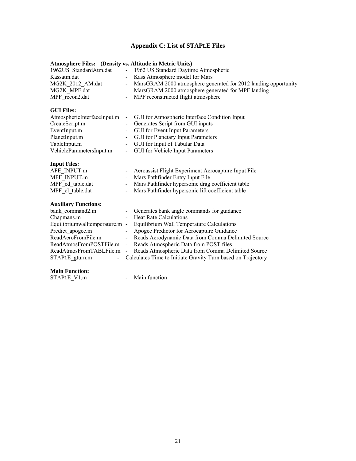## **Appendix C: List of STAPLE Files**

### **Atmosphere Files: (Density vs. Altitude in Metric Units)**

| 1962US StandardAtm.dat | - 1962 US Standard Daytime Atmospheric                            |
|------------------------|-------------------------------------------------------------------|
| Kassatm.dat            | - Kass Atmosphere model for Mars                                  |
| MG2K 2012 AM.dat       | - MarsGRAM 2000 atmosphere generated for 2012 landing opportunity |
| MG2K MPF.dat           | - MarsGRAM 2000 atmosphere generated for MPF landing              |
| MPF recon2.dat         | - MPF reconstructed flight atmosphere                             |

### **GUI Files:**

| AtmosphericInterfaceInput.m | - GUI for Atmospheric Interface Condition Input |
|-----------------------------|-------------------------------------------------|
| CreateScript.m              | - Generates Script from GUI inputs              |
| EventInput.m                | - GUI for Event Input Parameters                |
| PlanetInput.m               | - GUI for Planetary Input Parameters            |
| TableInput.m                | - GUI for Input of Tabular Data                 |
| VehicleParametersInput.m    | - GUI for Vehicle Input Parameters              |

#### **Input Files:**

| AFE INPUT.m      | - Aeroassist Flight Experiment Aerocapture Input File |
|------------------|-------------------------------------------------------|
| MPF INPUT.m      | - Mars Pathfinder Entry Input File                    |
| MPF cd table.dat | - Mars Pathfinder hypersonic drag coefficient table   |
| MPF cl table.dat | - Mars Pathfinder hypersonic lift coefficient table   |

#### **Auxiliary Functions:**

| bank command2.m                | - Generates bank angle commands for guidance                   |
|--------------------------------|----------------------------------------------------------------|
| Chapmans.m                     | - Heat Rate Calculations                                       |
| Equilibriumwalltemperature.m - | Equilibrium Wall Temperature Calculations                      |
| Predict apogee.m               | - Apogee Predictor for Aerocapture Guidance                    |
| ReadAeroFromFile.m             | - Reads Aerodynamic Data from Comma Delimited Source           |
| ReadAtmosFromPOSTFile.m        | - Reads Atmospheric Data from POST files                       |
| ReadAtmosFromTABLFile.m        | - Reads Atmospheric Data from Comma Delimited Source           |
| STAPLE gturn.m                 | - Calculates Time to Initiate Gravity Turn based on Trajectory |
|                                |                                                                |

**Main Function:** 

- Main function